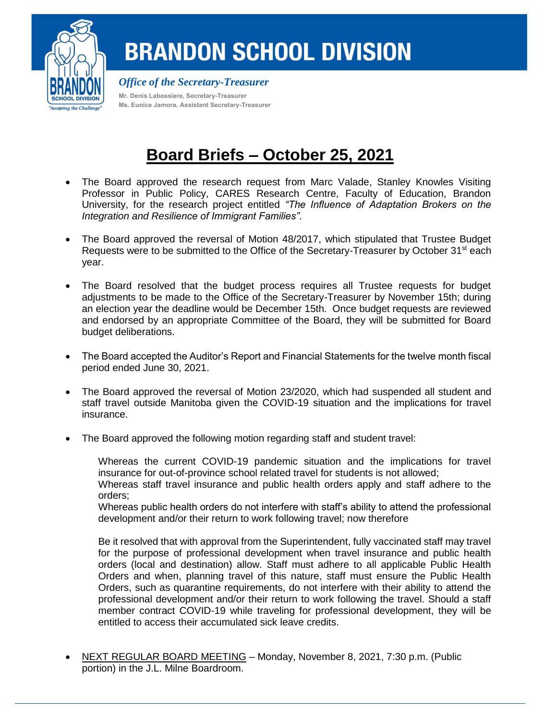

## **BRANDON SCHOOL DIVISION**

*Office of the Secretary-Treasurer* **Mr. Denis Labossiere, Secretary-Treasurer Ms. Eunice Jamora, Assistant Secretary-Treasurer**

## **Board Briefs – October 25, 2021**

- The Board approved the research request from Marc Valade, Stanley Knowles Visiting Professor in Public Policy, CARES Research Centre, Faculty of Education, Brandon University, for the research project entitled *"The Influence of Adaptation Brokers on the Integration and Resilience of Immigrant Families"*.
- The Board approved the reversal of Motion 48/2017, which stipulated that Trustee Budget Requests were to be submitted to the Office of the Secretary-Treasurer by October 31<sup>st</sup> each year.
- The Board resolved that the budget process requires all Trustee requests for budget adjustments to be made to the Office of the Secretary-Treasurer by November 15th; during an election year the deadline would be December 15th. Once budget requests are reviewed and endorsed by an appropriate Committee of the Board, they will be submitted for Board budget deliberations.
- The Board accepted the Auditor's Report and Financial Statements for the twelve month fiscal period ended June 30, 2021.
- The Board approved the reversal of Motion 23/2020, which had suspended all student and staff travel outside Manitoba given the COVID-19 situation and the implications for travel insurance.
- The Board approved the following motion regarding staff and student travel:

Whereas the current COVID-19 pandemic situation and the implications for travel insurance for out-of-province school related travel for students is not allowed;

Whereas staff travel insurance and public health orders apply and staff adhere to the orders;

Whereas public health orders do not interfere with staff's ability to attend the professional development and/or their return to work following travel; now therefore

Be it resolved that with approval from the Superintendent, fully vaccinated staff may travel for the purpose of professional development when travel insurance and public health orders (local and destination) allow. Staff must adhere to all applicable Public Health Orders and when, planning travel of this nature, staff must ensure the Public Health Orders, such as quarantine requirements, do not interfere with their ability to attend the professional development and/or their return to work following the travel. Should a staff member contract COVID-19 while traveling for professional development, they will be entitled to access their accumulated sick leave credits.

 NEXT REGULAR BOARD MEETING – Monday, November 8, 2021, 7:30 p.m. (Public portion) in the J.L. Milne Boardroom.